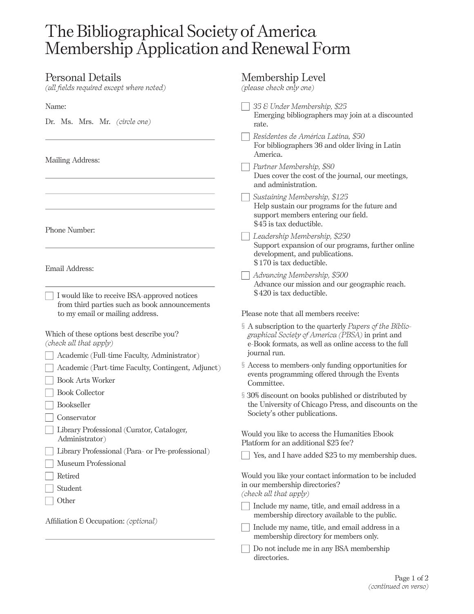## The Bibliographical Society of America Membership Application and Renewal Form

| Personal Details<br>(all fields required except where noted)                                                                     | Membership Level<br>(please check only one)                                                                                                                         |
|----------------------------------------------------------------------------------------------------------------------------------|---------------------------------------------------------------------------------------------------------------------------------------------------------------------|
| Name:                                                                                                                            | 35 & Under Membership, \$25<br>Emerging bibliographers may join at a discounted<br>rate.                                                                            |
| Dr. Ms. Mrs. Mr. (circle one)                                                                                                    |                                                                                                                                                                     |
| Mailing Address:                                                                                                                 | Residentes de América Latina, \$50<br>For bibliographers 36 and older living in Latin<br>America.                                                                   |
|                                                                                                                                  | Partner Membership, \$80<br>Dues cover the cost of the journal, our meetings,<br>and administration.                                                                |
|                                                                                                                                  | Sustaining Membership, \$125                                                                                                                                        |
| Phone Number:                                                                                                                    | Help sustain our programs for the future and<br>support members entering our field.<br>\$45 is tax deductible.                                                      |
|                                                                                                                                  | Leadership Membership, \$250<br>Support expansion of our programs, further online<br>development, and publications.<br>\$170 is tax deductible.                     |
| Email Address:                                                                                                                   |                                                                                                                                                                     |
|                                                                                                                                  | Advancing Membership, \$500<br>Advance our mission and our geographic reach.                                                                                        |
| I would like to receive BSA-approved notices<br>from third parties such as book announcements<br>to my email or mailing address. | \$420 is tax deductible.<br>Please note that all members receive:                                                                                                   |
| Which of these options best describe you?<br>(check all that apply)                                                              | § A subscription to the quarterly Papers of the Biblio-<br>graphical Society of America (PBSA) in print and<br>e-Book formats, as well as online access to the full |
| Academic (Full-time Faculty, Administrator)                                                                                      | journal run.                                                                                                                                                        |
| Academic (Part-time Faculty, Contingent, Adjunct)<br><b>Book Arts Worker</b>                                                     | § Access to members-only funding opportunities for<br>events programming offered through the Events                                                                 |
| <b>Book Collector</b>                                                                                                            | Committee.                                                                                                                                                          |
| Bookseller                                                                                                                       | § 30% discount on books published or distributed by<br>the University of Chicago Press, and discounts on the                                                        |
| Conservator                                                                                                                      | Society's other publications.                                                                                                                                       |
| Library Professional (Curator, Cataloger,<br>Administrator)                                                                      | Would you like to access the Humanities Ebook<br>Platform for an additional \$25 fee?                                                                               |
| Library Professional (Para- or Pre-professional)                                                                                 | Yes, and I have added \$25 to my membership dues.                                                                                                                   |
| Museum Professional                                                                                                              |                                                                                                                                                                     |
| Retired                                                                                                                          | Would you like your contact information to be included                                                                                                              |
| Student                                                                                                                          | in our membership directories?<br>(check all that apply)                                                                                                            |
| Other                                                                                                                            | Include my name, title, and email address in a<br>membership directory available to the public.                                                                     |
| Affiliation & Occupation: (optional)                                                                                             | Include my name, title, and email address in a<br>membership directory for members only.                                                                            |
|                                                                                                                                  | Do not include me in any BSA membership<br>directories.                                                                                                             |